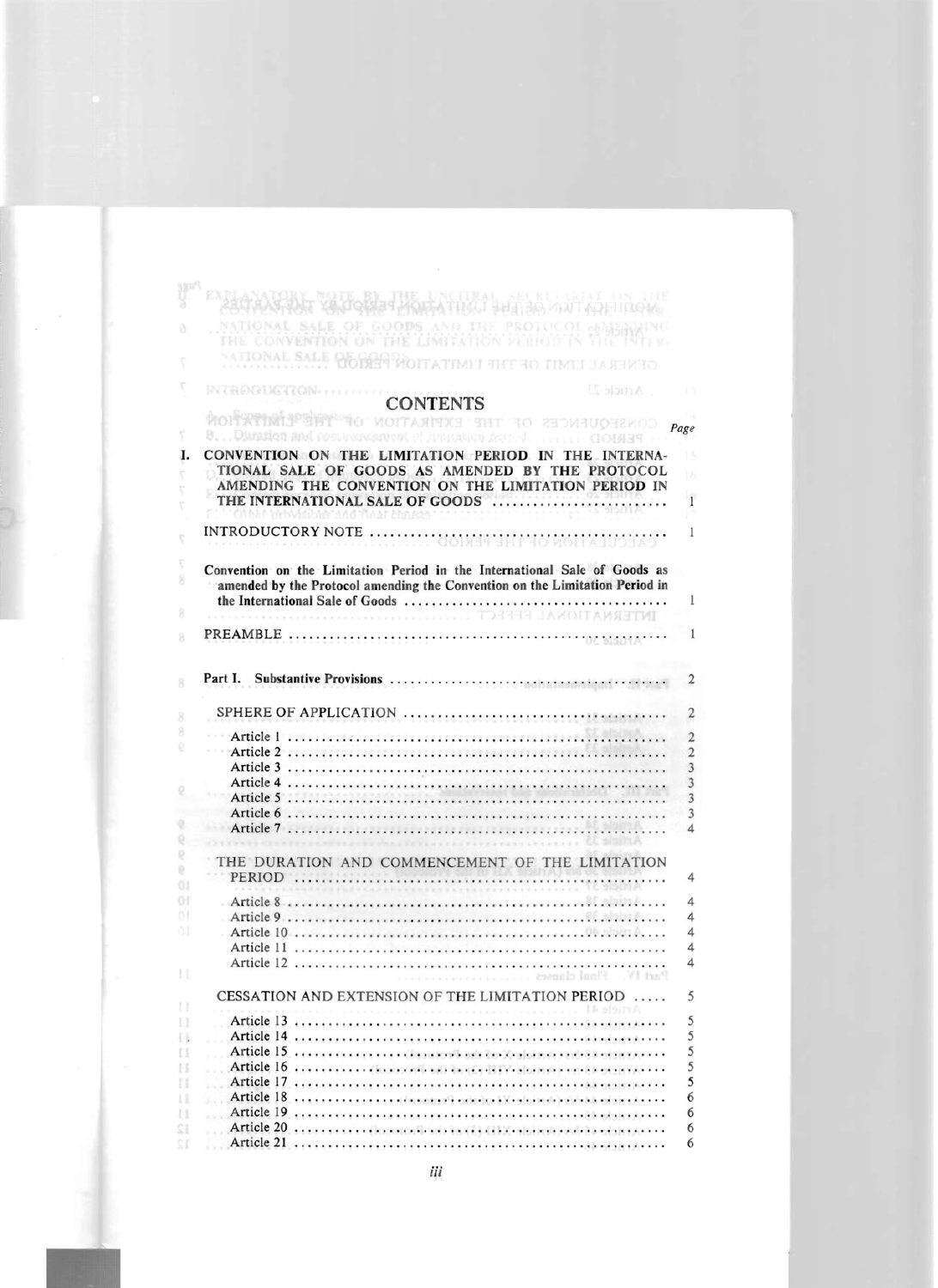## **CONTENTS**

NATIONAL SALE OF GOODS AND THE PROTOCOL ONE AND THE CONVENTION ON THE LIMITATION VEHICOL OF THE INTER-

NATIONAL SALE OF THE WOTLATIMIL THE TO TIMEL LASTER TO

Harry

 $\frac{12}{9}n^{d}$ 

ð

 $\bar{r}$  $\boldsymbol{\nabla}$ 

**INTRODUCTION** 

|            |                                                                                                                                                                                                                                | Page                    |
|------------|--------------------------------------------------------------------------------------------------------------------------------------------------------------------------------------------------------------------------------|-------------------------|
|            | 8. . Dimation and post increasing of Junitation active  COMART                                                                                                                                                                 |                         |
| Ι.         | CONVENTION ON THE LIMITATION PERIOD IN THE INTERNA-<br>TIONAL SALE OF GOODS AS AMENDED BY THE PROTOCOL                                                                                                                         | Ń.                      |
|            | AMENDING THE CONVENTION ON THE LIMITATION PERIOD IN<br>THE INTERNATIONAL SALE OF GOODS                                                                                                                                         | $\mathbf{I}$            |
|            | Malikin's Africat Malder                                                                                                                                                                                                       |                         |
|            |                                                                                                                                                                                                                                | 1                       |
|            | Convention on the Limitation Period in the International Sale of Goods as<br>amended by the Protocol amending the Convention on the Limitation Period in                                                                       |                         |
|            | TOTAL PRINTER THE COLLEGE COMMUNIST WAS CONTRACTED TO A STATE OF THE COLLEGE OF THE COLLEGE OF THE COLLEGE OF THE COLLEGE OF THE COLLEGE OF THE COLLEGE OF THE COLLEGE OF THE COLLEGE OF THE COLLEGE OF THE COLLEGE OF THE COL | 1                       |
|            |                                                                                                                                                                                                                                |                         |
|            |                                                                                                                                                                                                                                | 1                       |
|            | Part I.                                                                                                                                                                                                                        | 2                       |
|            |                                                                                                                                                                                                                                | $\overline{2}$          |
|            |                                                                                                                                                                                                                                | $\overline{2}$          |
|            |                                                                                                                                                                                                                                | $\overline{2}$          |
|            |                                                                                                                                                                                                                                | $\overline{3}$          |
|            |                                                                                                                                                                                                                                | 3                       |
|            |                                                                                                                                                                                                                                | $\overline{3}$          |
|            |                                                                                                                                                                                                                                | $\overline{3}$          |
|            |                                                                                                                                                                                                                                | $\Delta$                |
|            | THE DURATION AND COMMENCEMENT OF THE LIMITATION                                                                                                                                                                                |                         |
| Đ.<br>01   |                                                                                                                                                                                                                                | 4                       |
| 01         |                                                                                                                                                                                                                                | $\overline{\mathbf{4}}$ |
| $^{\circ}$ |                                                                                                                                                                                                                                | 4                       |
| O(1)       |                                                                                                                                                                                                                                | $\overline{\mathbf{4}}$ |
|            |                                                                                                                                                                                                                                | 4                       |
|            |                                                                                                                                                                                                                                | $\Delta$                |
|            |                                                                                                                                                                                                                                |                         |
|            | CESSATION AND EXTENSION OF THE LIMITATION PERIOD<br>Lh afoity A                                                                                                                                                                | 5                       |
| и          | Article 13                                                                                                                                                                                                                     | 5                       |
| B          |                                                                                                                                                                                                                                | 5                       |
| и          |                                                                                                                                                                                                                                | 5                       |
| Н          |                                                                                                                                                                                                                                | $\overline{5}$          |
| н          |                                                                                                                                                                                                                                | 5                       |
| 11         |                                                                                                                                                                                                                                | 6                       |
| Н          |                                                                                                                                                                                                                                | 6                       |
| śì.        | Article 20. Goodoriles at the CD CDX eligible to the tax edgin Arres                                                                                                                                                           | 6                       |
|            |                                                                                                                                                                                                                                | 6                       |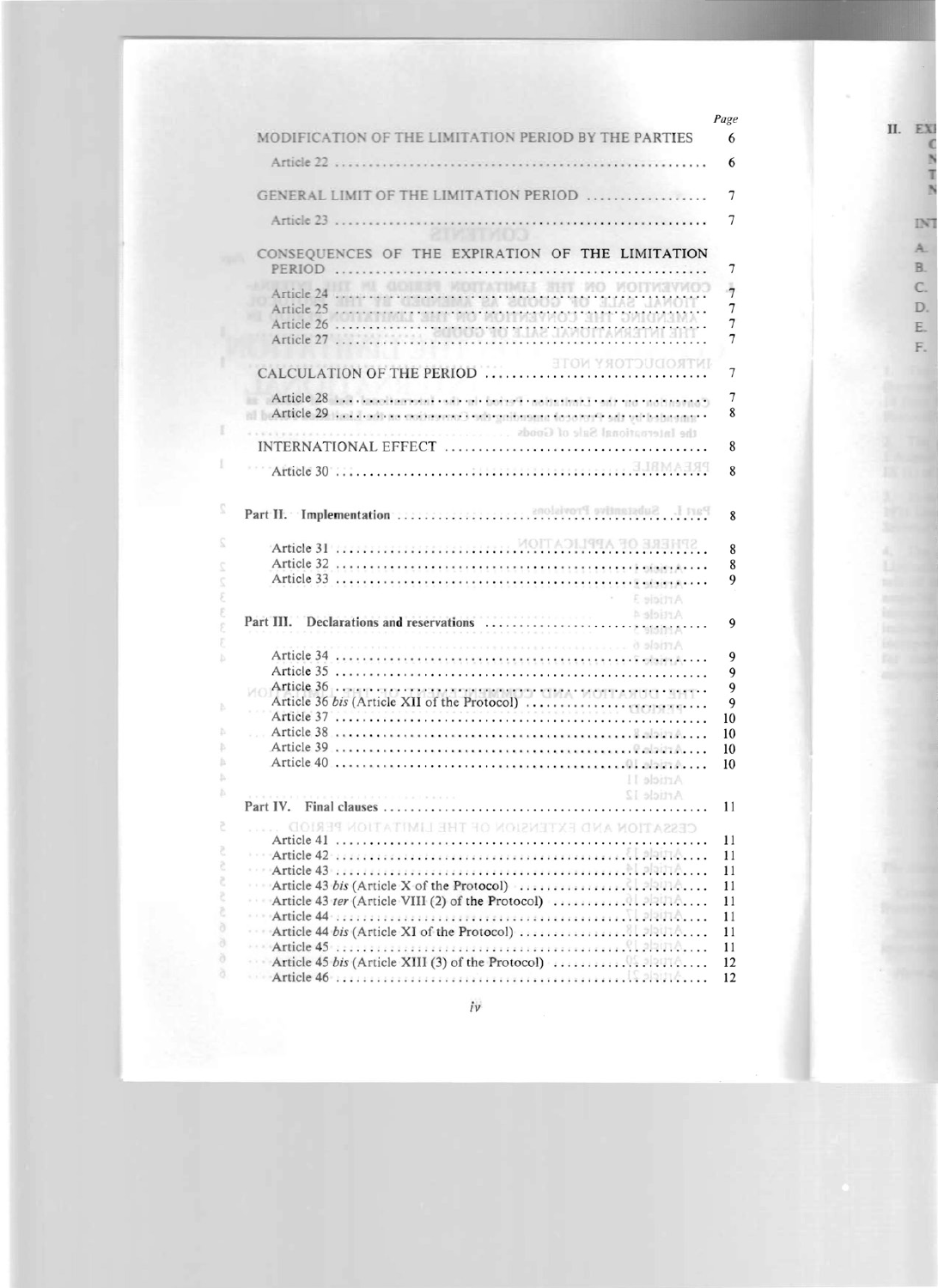|    |                                                                                                                | Page                |
|----|----------------------------------------------------------------------------------------------------------------|---------------------|
|    | MODIFICATION OF THE LIMITATION PERIOD BY THE PARTIES                                                           | 6                   |
|    | Article 22                                                                                                     | 6                   |
|    | GENERAL LIMIT OF THE LIMITATION PERIOD                                                                         | 7                   |
|    |                                                                                                                |                     |
|    | Article 23<br><b>STARTAOOL</b>                                                                                 | 7                   |
|    | CONSEQUENCES OF THE EXPIRATION OF THE LIMITATION<br>PERIOD                                                     | 7                   |
|    | <b>GOILER MOTATIMES SHIT MO MOTIVIEROS</b><br>Article 24                                                       | $\overline{7}$      |
|    |                                                                                                                | $\overline{7}$      |
|    | Article 24<br>Article 25<br>Article 25<br>Article 26<br>Article 27<br>Article 27                               | 7<br>$\overline{7}$ |
|    |                                                                                                                |                     |
|    | итвористову моте                                                                                               | $\overline{7}$      |
|    | Article 28  bookbarrotal cab mic totari capitalizati car no nobassado                                          | 7                   |
|    | at LArticle 29 and dealers exchanged substanting to the first safe virtualization                              | 8                   |
|    |                                                                                                                | 8                   |
|    |                                                                                                                |                     |
|    |                                                                                                                | 8                   |
|    |                                                                                                                | 8                   |
|    | MOITADILITY APPLICATION AT A PRINTING AND A PRINT AND A PRINT OF A PRINT OF A PRINT OF A PRINT OF A PRINT OF A | 8                   |
|    |                                                                                                                | 8                   |
|    |                                                                                                                | 9                   |
|    | <b>E</b> sinitrA                                                                                               |                     |
|    |                                                                                                                |                     |
|    |                                                                                                                | 9                   |
|    |                                                                                                                | 9                   |
|    |                                                                                                                | $\overline{9}$      |
|    |                                                                                                                | $\overline{9}$      |
|    |                                                                                                                | $\overline{9}$      |
|    |                                                                                                                | 10                  |
|    |                                                                                                                | 10                  |
|    |                                                                                                                | 10                  |
|    |                                                                                                                | 10                  |
|    | Article II                                                                                                     |                     |
|    | Article 12                                                                                                     |                     |
|    |                                                                                                                | 11                  |
| č  | CESSATION AND EXTENSION OF THE LIMITATION PERIOD                                                               | 11                  |
| ₹  |                                                                                                                | 11                  |
| ĉ  |                                                                                                                | 11                  |
| č  |                                                                                                                | 11                  |
| ₹  |                                                                                                                | 11                  |
| č  |                                                                                                                | 11                  |
| ð  |                                                                                                                | 11                  |
| ð  |                                                                                                                | 11                  |
| õ  | Article 45 bis (Article XIII (3) of the Protocol) $\ldots \ldots \ldots$                                       | 12                  |
| ð. |                                                                                                                | 12                  |
|    |                                                                                                                |                     |

iv